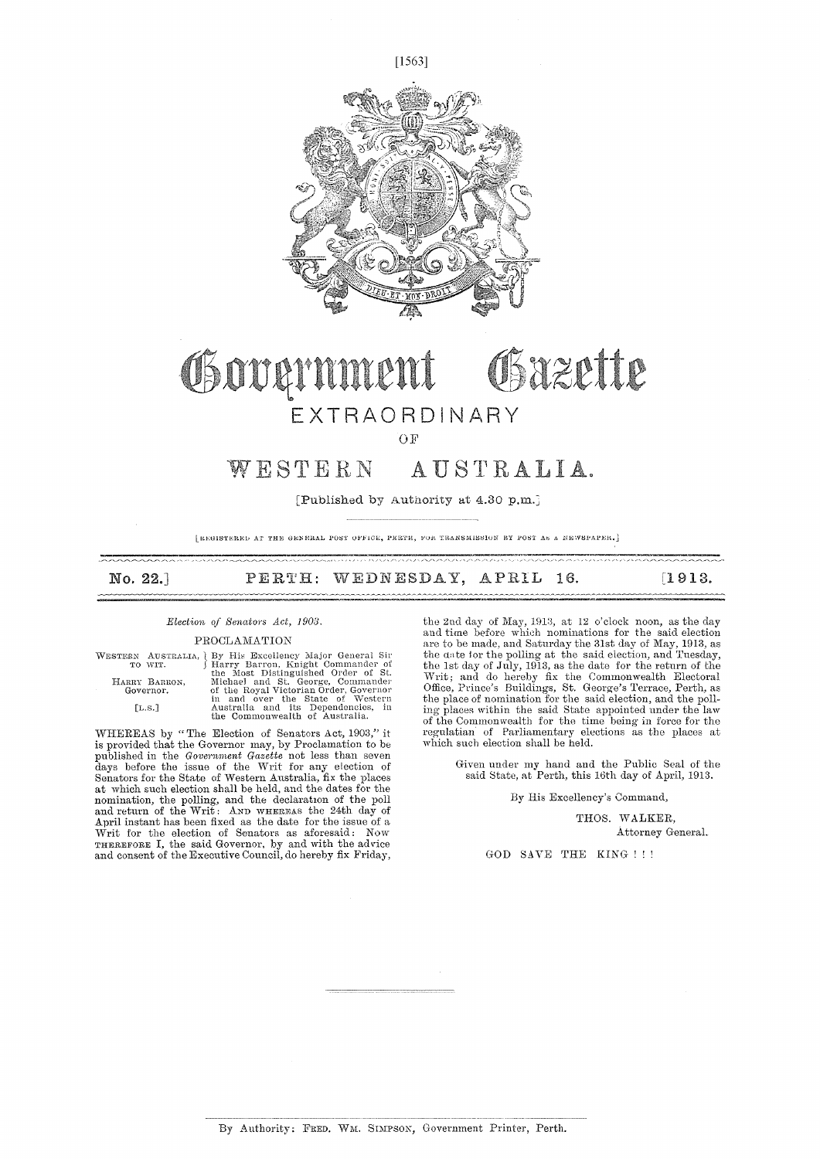



## Osazette Governmer EXTRAORDINARY

OF

### WESTERN AUSTRALIA.

[Published by Authority at  $4.30$  p,m.]

[REGISTERED AT THE GENERAL POST OFFICE, PERTH, FOR TRANSMISSION BY POST AN A NEWSPAPER.]

| No. 22.] | PERTH: WEDNESDAY, APRIL 16. |  | [1913] |
|----------|-----------------------------|--|--------|
|          |                             |  |        |

#### *Election of Senators Act, 1903.*

#### PROCLAMATION

WESTERN AUSTRALIA, <br/> By His Excellency Major General Sir TO WIT. (Harry Barron, Knight Commander of the Most Distinguished Order of St. Michael and St. George, Commander Governor. (IL.S.] distringuished Order of the St

WHEREAS by "The Election of Senators Act, 1903," it<br>is provided that the Governor may, by Proclamation to be<br>published in the Government Gazette not less than seven<br>days before the issue of the Writ for any election of<br>Sen at which such election shall be held, and the dates for the nomination, the polling, and the declaration of the poll<br>and return of the Writ: AND WHEREAS the 24th day of<br>April instant has been fixed as the date for the issue of a<br>Writ for the election of Senators as aforesaid: Now<br>T

the 2nd day of May, 1913, at 12 o'clock noon, as the day and time before which nominations for the said election are to be made, and Saturday the 31st day of May, 1913, as the ante for the polling at the said election, and Tuesday, the 1st day of July, 1913, as the date for the return of the Writ ; and do hereby fix the Commonwealth Electoral Office, Prince's Buildings, St. George's Terrace, Perth, as the place of nomination for the said election, and the polling places within the said State appointed under the law of the Commonwealth for the time being in force for the regulatian of Parliamentary elections as the places at which such election shall be held.

Given under my hand and the Public Seal of the said State, at Perth, this 16th day of April, 1913.

#### By His Excellency's Command,

THOS. WALKER, Attorney General.

GOD SAVE THE KING !!!